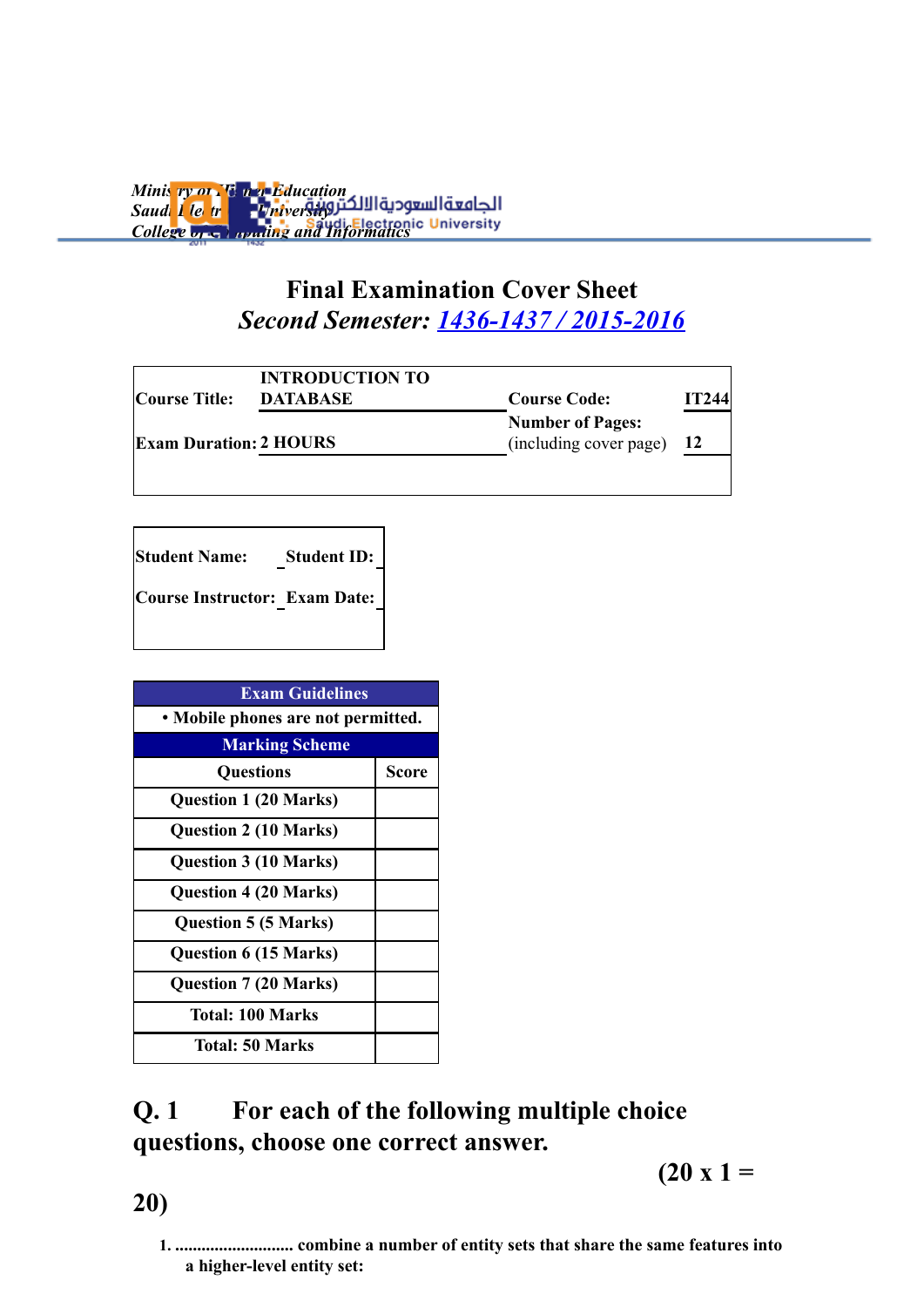*Ministry of Higher Education* **Saudi Llectronic Liniversity** *College of Gommuting and Informatics* 

## **Final Examination Cover Sheet** *Second Semester: 1436-1437 / 2015-2016*

| Course Title:                 | <b>INTRODUCTION TO</b><br><b>DATABASE</b> | <b>Course Code:</b>                               | IT244     |  |
|-------------------------------|-------------------------------------------|---------------------------------------------------|-----------|--|
| <b>Exam Duration: 2 HOURS</b> |                                           | <b>Number of Pages:</b><br>(including cover page) | <b>12</b> |  |
|                               |                                           |                                                   |           |  |

**Student Name: Student ID: Course Instructor: Exam Date:**

| <b>Exam Guidelines</b>             |              |  |  |
|------------------------------------|--------------|--|--|
| • Mobile phones are not permitted. |              |  |  |
| <b>Marking Scheme</b>              |              |  |  |
| <b>Questions</b>                   | <b>Score</b> |  |  |
| <b>Question 1 (20 Marks)</b>       |              |  |  |
| <b>Question 2 (10 Marks)</b>       |              |  |  |
| <b>Question 3 (10 Marks)</b>       |              |  |  |
| <b>Question 4 (20 Marks)</b>       |              |  |  |
| <b>Question 5 (5 Marks)</b>        |              |  |  |
| <b>Question 6 (15 Marks)</b>       |              |  |  |
| <b>Question 7 (20 Marks)</b>       |              |  |  |
| <b>Total: 100 Marks</b>            |              |  |  |
| <b>Total: 50 Marks</b>             |              |  |  |

# **Q. 1 For each of the following multiple choice questions, choose one correct answer.**

 $(20 x 1 =$ 

**20)**

**1. ........................... combine a number of entity sets that share the same features into a higher-level entity set:**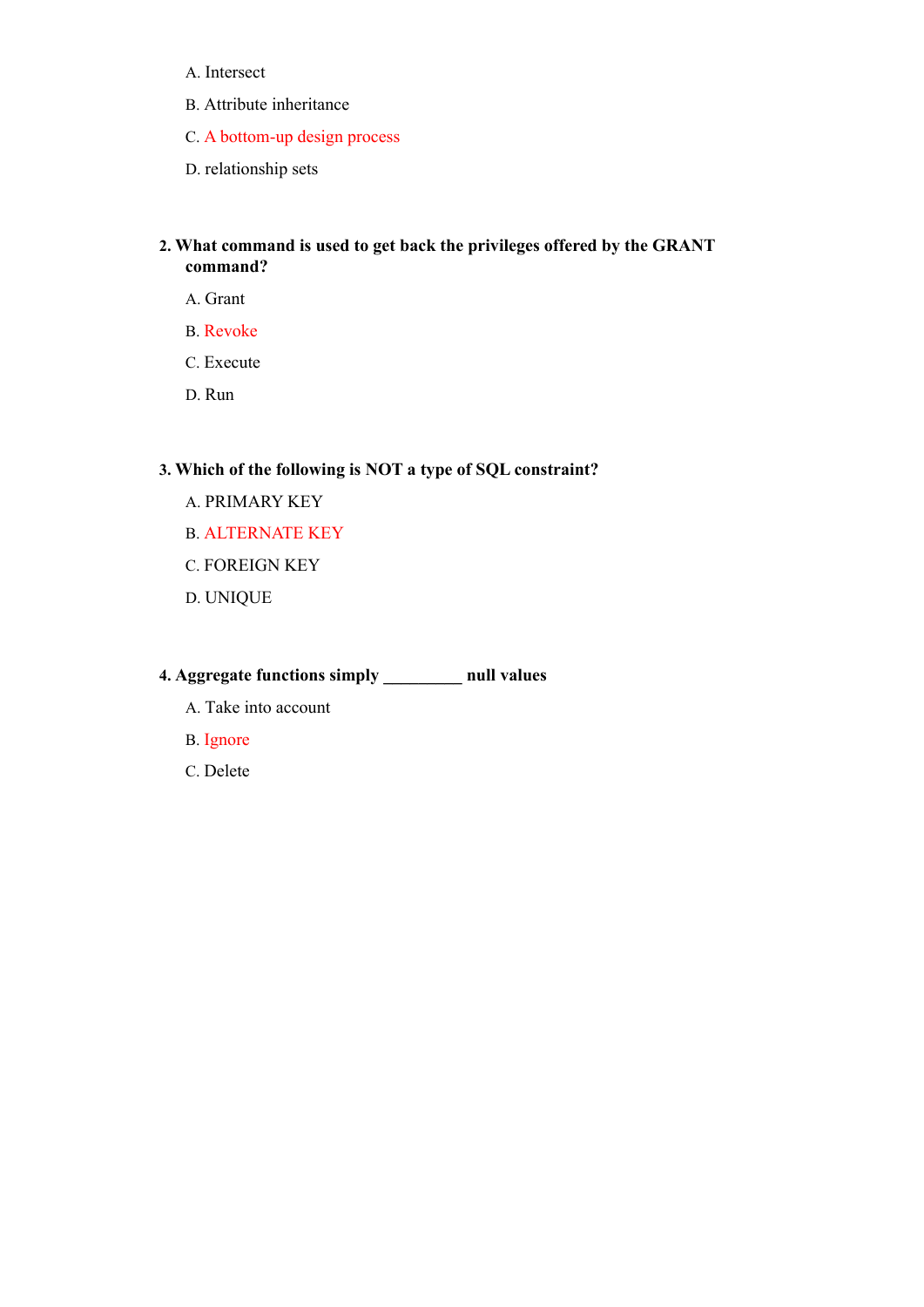- A. Intersect
- B. Attribute inheritance
- C. A bottom-up design process
- D. relationship sets

#### **2. What command is used to get back the privileges offered by the GRANT command?**

- A. Grant
- B. Revoke
- C. Execute
- D. Run

### **3. Which of the following is NOT a type of SQL constraint?**

- A. PRIMARY KEY
- B. ALTERNATE KEY
- C. FOREIGN KEY
- D. UNIQUE

### **4. Aggregate functions simply \_\_\_\_\_\_\_\_\_ null values**

- A. Take into account
- B. Ignore
- C. Delete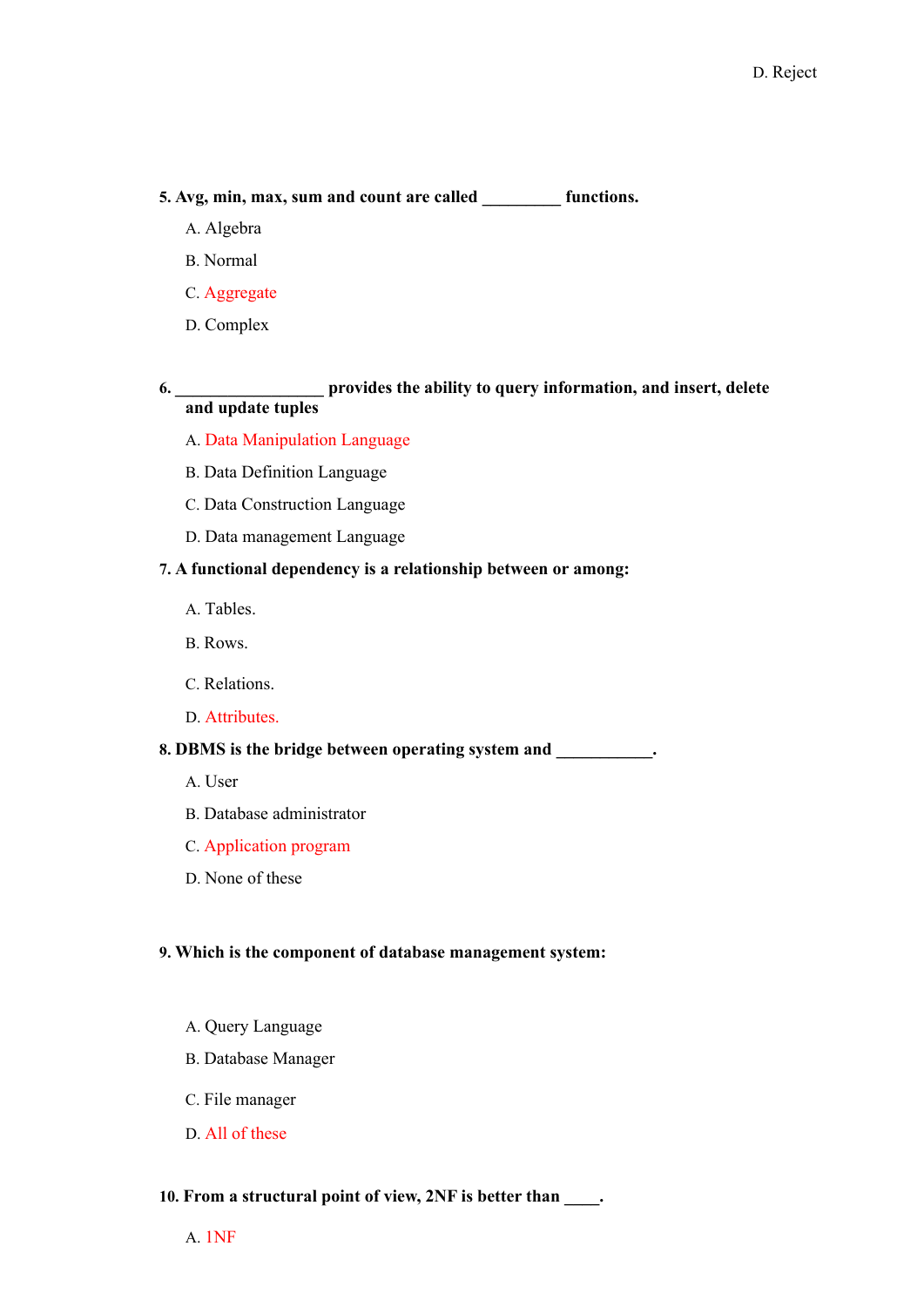#### **5. Avg, min, max, sum and count are called \_\_\_\_\_\_\_\_\_ functions.**

- A. Algebra
- B. Normal
- C. Aggregate
- D. Complex

#### **6. \_\_\_\_\_\_\_\_\_\_\_\_\_\_\_\_\_ provides the ability to query information, and insert, delete and update tuples**

- A. Data Manipulation Language
- B. Data Definition Language
- C. Data Construction Language
- D. Data management Language

#### **7. A functional dependency is a relationship between or among:**

- A. Tables.
- B. Rows.
- C. Relations.
- D. Attributes.

#### **8. DBMS is the bridge between operating system and \_\_\_\_\_\_\_\_\_\_\_.**

- A. User
- B. Database administrator
- C. Application program
- D. None of these

#### **9. Which is the component of database management system:**

- A. Query Language
- B. Database Manager
- C. File manager
- D. All of these

#### **10. From a structural point of view, 2NF is better than \_\_\_\_.**

A. 1NF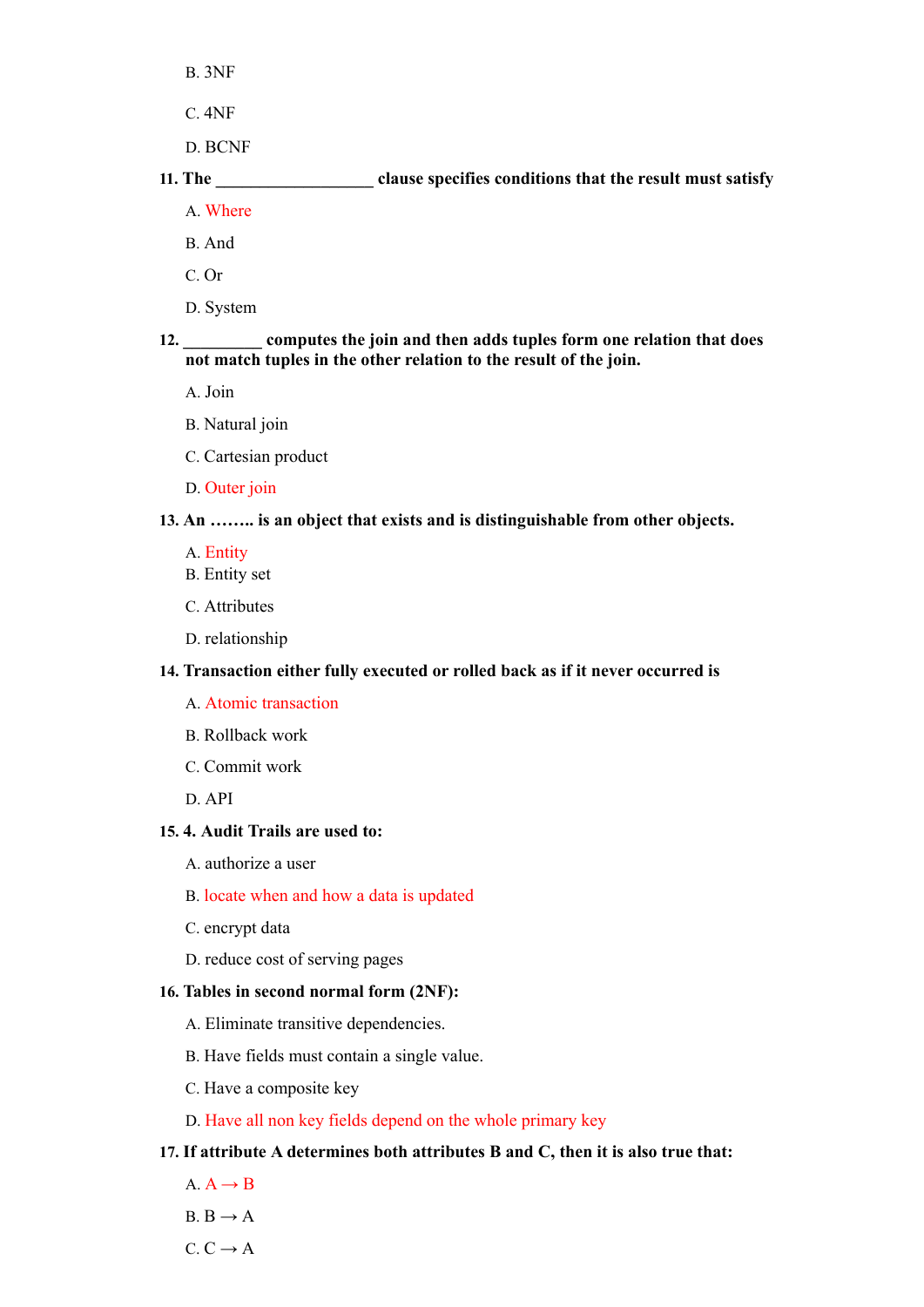- B. 3NF
- C. 4NF
- D. BCNF

### **11. The \_\_\_\_\_\_\_\_\_\_\_\_\_\_\_\_\_\_ clause specifies conditions that the result must satisfy** A. Where

- 
- B. And
- C. Or
- D. System

#### **12. \_\_\_\_\_\_\_\_\_ computes the join and then adds tuples form one relation that does not match tuples in the other relation to the result of the join.**

- A. Join
- B. Natural join
- C. Cartesian product
- D. Outer join

#### **13. An …….. is an object that exists and is distinguishable from other objects.**

- A. Entity
- B. Entity set
- C. Attributes
- D. relationship

#### **14. Transaction either fully executed or rolled back as if it never occurred is**

- A. Atomic transaction
- B. Rollback work
- C. Commit work
- D. API

#### **15. 4. Audit Trails are used to:**

- A. authorize a user
- B. locate when and how a data is updated
- C. encrypt data
- D. reduce cost of serving pages

#### **16. Tables in second normal form (2NF):**

- A. Eliminate transitive dependencies.
- B. Have fields must contain a single value.
- C. Have a composite key
- D. Have all non key fields depend on the whole primary key

#### **17. If attribute A determines both attributes B and C, then it is also true that:**

- $A \rightarrow B$
- $B \rightarrow A$
- $C. C \rightarrow A$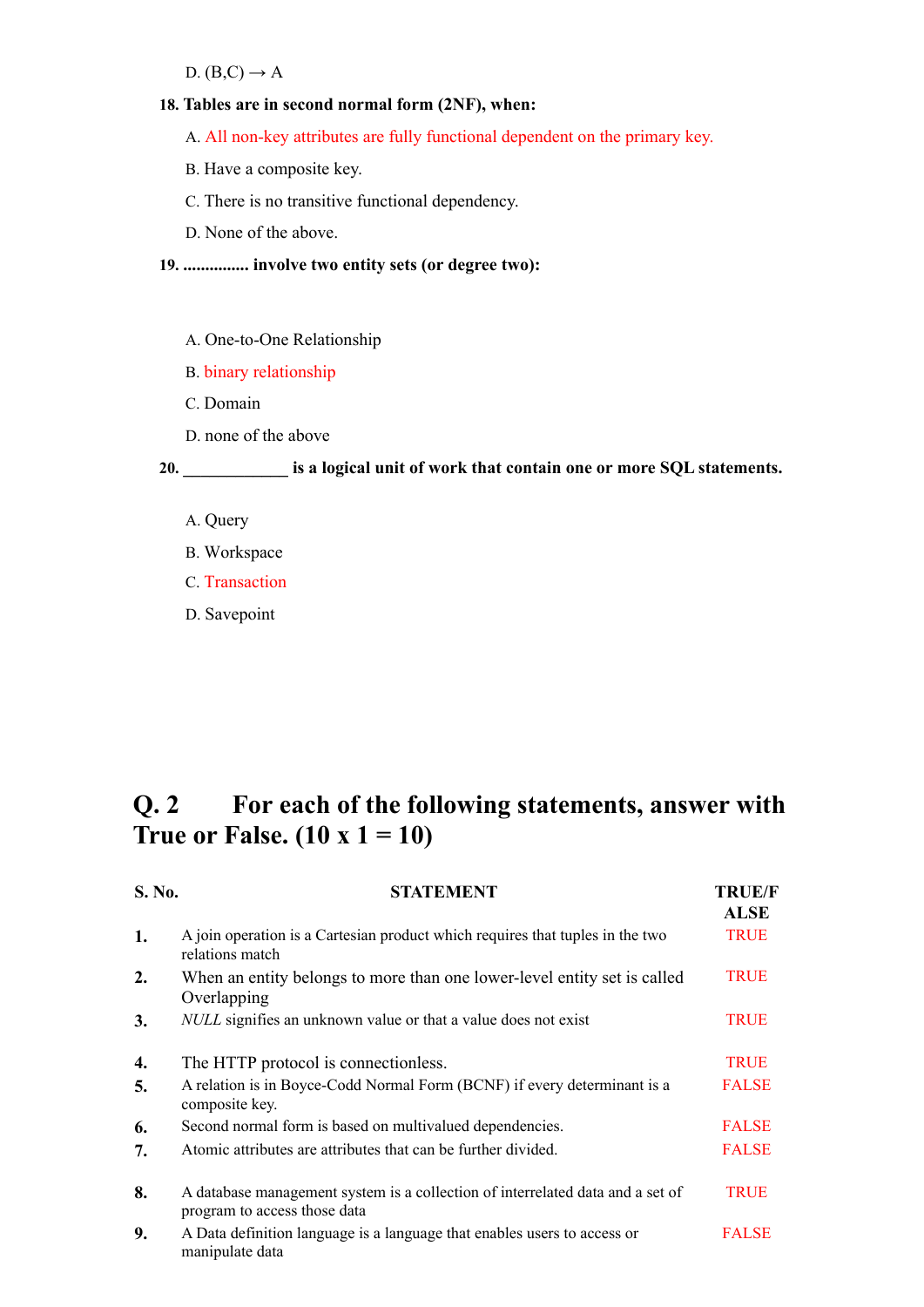D.  $(B,C) \rightarrow A$ 

#### **18. Tables are in second normal form (2NF), when:**

- A. All non-key attributes are fully functional dependent on the primary key.
- B. Have a composite key.
- C. There is no transitive functional dependency.
- D. None of the above.

**19. ............... involve two entity sets (or degree two):** 

- A. One-to-One Relationship
- B. binary relationship
- C. Domain
- D. none of the above

**20. \_\_\_\_\_\_\_\_\_\_\_\_ is a logical unit of work that contain one or more SQL statements.**

- A. Query
- B. Workspace
- C. Transaction
- D. Savepoint

# **Q. 2 For each of the following statements, answer with True or False.**  $(10 \times 1 = 10)$

| S. No. | <b>STATEMENT</b>                                                                                               | <b>TRUE/F</b><br><b>ALSE</b> |
|--------|----------------------------------------------------------------------------------------------------------------|------------------------------|
| 1.     | A join operation is a Cartesian product which requires that tuples in the two<br>relations match               | <b>TRUE</b>                  |
| 2.     | When an entity belongs to more than one lower-level entity set is called<br>Overlapping                        | <b>TRUE</b>                  |
| 3.     | <i>NULL</i> signifies an unknown value or that a value does not exist                                          | <b>TRUE</b>                  |
| 4.     | The HTTP protocol is connectionless.                                                                           | <b>TRUE</b>                  |
| 5.     | A relation is in Boyce-Codd Normal Form (BCNF) if every determinant is a<br>composite key.                     | <b>FALSE</b>                 |
| 6.     | Second normal form is based on multivalued dependencies.                                                       | <b>FALSE</b>                 |
| 7.     | Atomic attributes are attributes that can be further divided.                                                  | <b>FALSE</b>                 |
| 8.     | A database management system is a collection of interrelated data and a set of<br>program to access those data | <b>TRUE</b>                  |
| 9.     | A Data definition language is a language that enables users to access or<br>manipulate data                    | <b>FALSE</b>                 |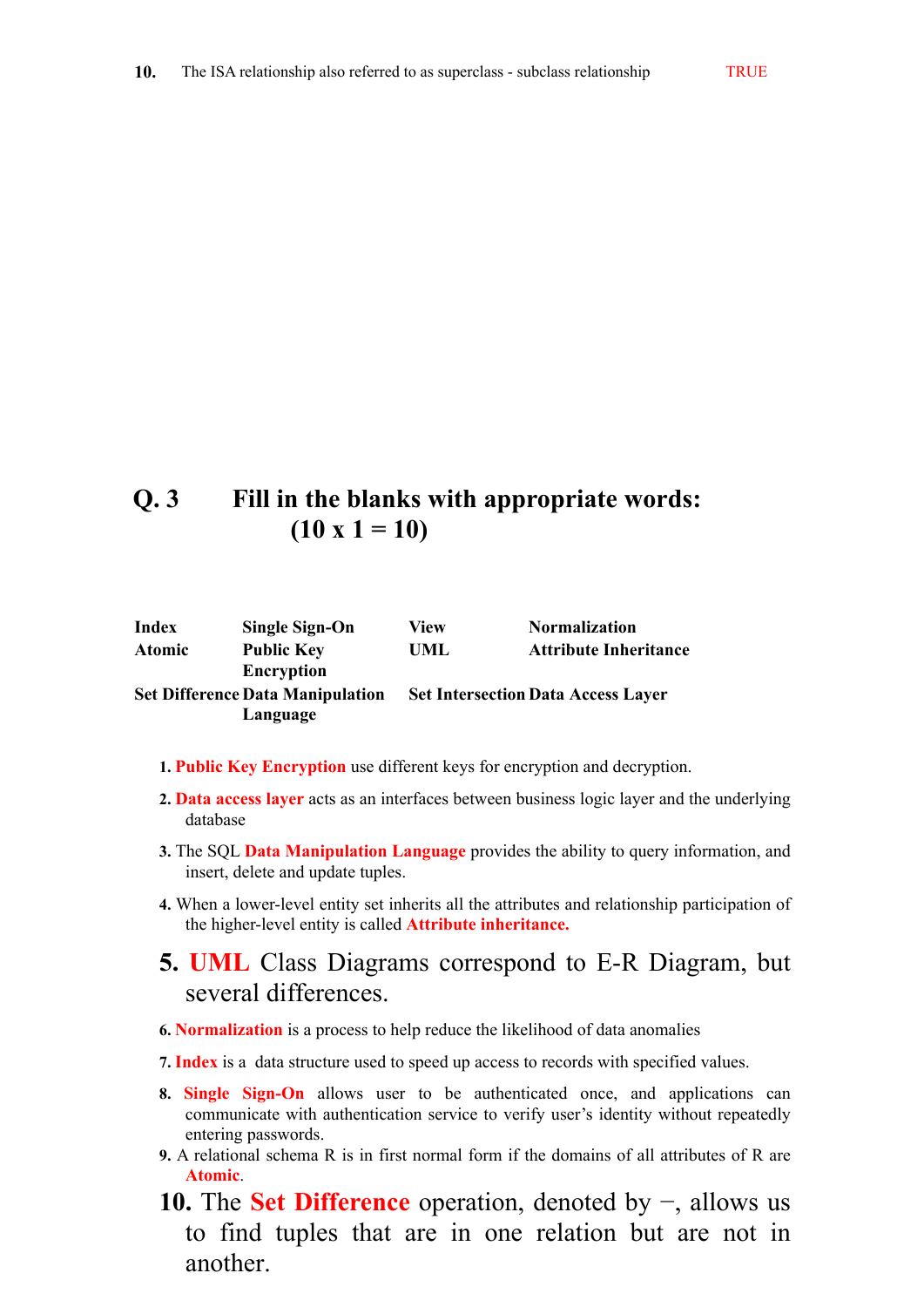### **Q. 3 Fill in the blanks with appropriate words:**  $(10 \times 1 = 10)$

| Index         | <b>Single Sign-On</b>                   | View | <b>Normalization</b>                      |
|---------------|-----------------------------------------|------|-------------------------------------------|
| <b>Atomic</b> | <b>Public Key</b>                       | UML  | <b>Attribute Inheritance</b>              |
|               | <b>Encryption</b>                       |      |                                           |
|               | <b>Set Difference Data Manipulation</b> |      | <b>Set Intersection Data Access Layer</b> |
|               | Language                                |      |                                           |

- **1. Public Key Encryption** use different keys for encryption and decryption.
- **2. Data access layer** acts as an interfaces between business logic layer and the underlying database
- **3.** The SQL **Data Manipulation Language** provides the ability to query information, and insert, delete and update tuples.
- **4.** When a lower-level entity set inherits all the attributes and relationship participation of the higher-level entity is called **Attribute inheritance.**

### **5. UML** Class Diagrams correspond to E-R Diagram, but several differences.

- **6. Normalization** is a process to help reduce the likelihood of data anomalies
- **7. Index** is a data structure used to speed up access to records with specified values.
- **8. Single Sign-On** allows user to be authenticated once, and applications can communicate with authentication service to verify user's identity without repeatedly entering passwords.
- **9.** A relational schema R is in first normal form if the domains of all attributes of R are **Atomic**.
- **10.** The **Set Difference** operation, denoted by −, allows us to find tuples that are in one relation but are not in another.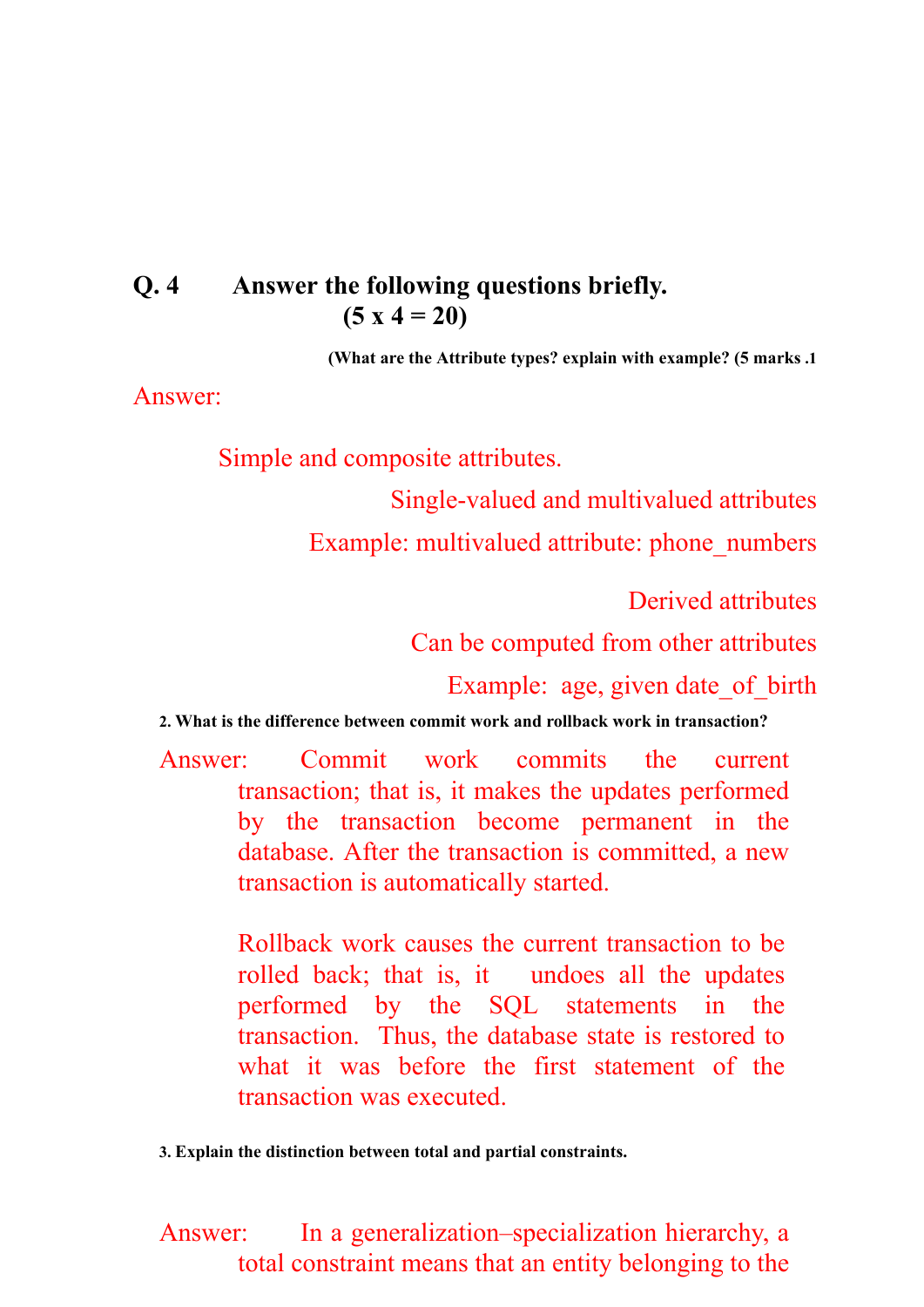## **Q. 4 Answer the following questions briefly. (5 x 4 = 20)**

**(What are the Attribute types? explain with example? (5 marks .1**

Answer:

Simple and composite attributes.

Single-valued and multivalued attributes

Example: multivalued attribute: phone\_numbers

Derived attributes

Can be computed from other attributes

Example: age, given date of birth

**2. What is the difference between commit work and rollback work in transaction?**

Answer: Commit work commits the current transaction; that is, it makes the updates performed by the transaction become permanent in the database. After the transaction is committed, a new transaction is automatically started.

> Rollback work causes the current transaction to be rolled back; that is, it undoes all the updates performed by the SQL statements in the transaction. Thus, the database state is restored to what it was before the first statement of the transaction was executed.

**3. Explain the distinction between total and partial constraints.**

Answer: In a generalization–specialization hierarchy, a total constraint means that an entity belonging to the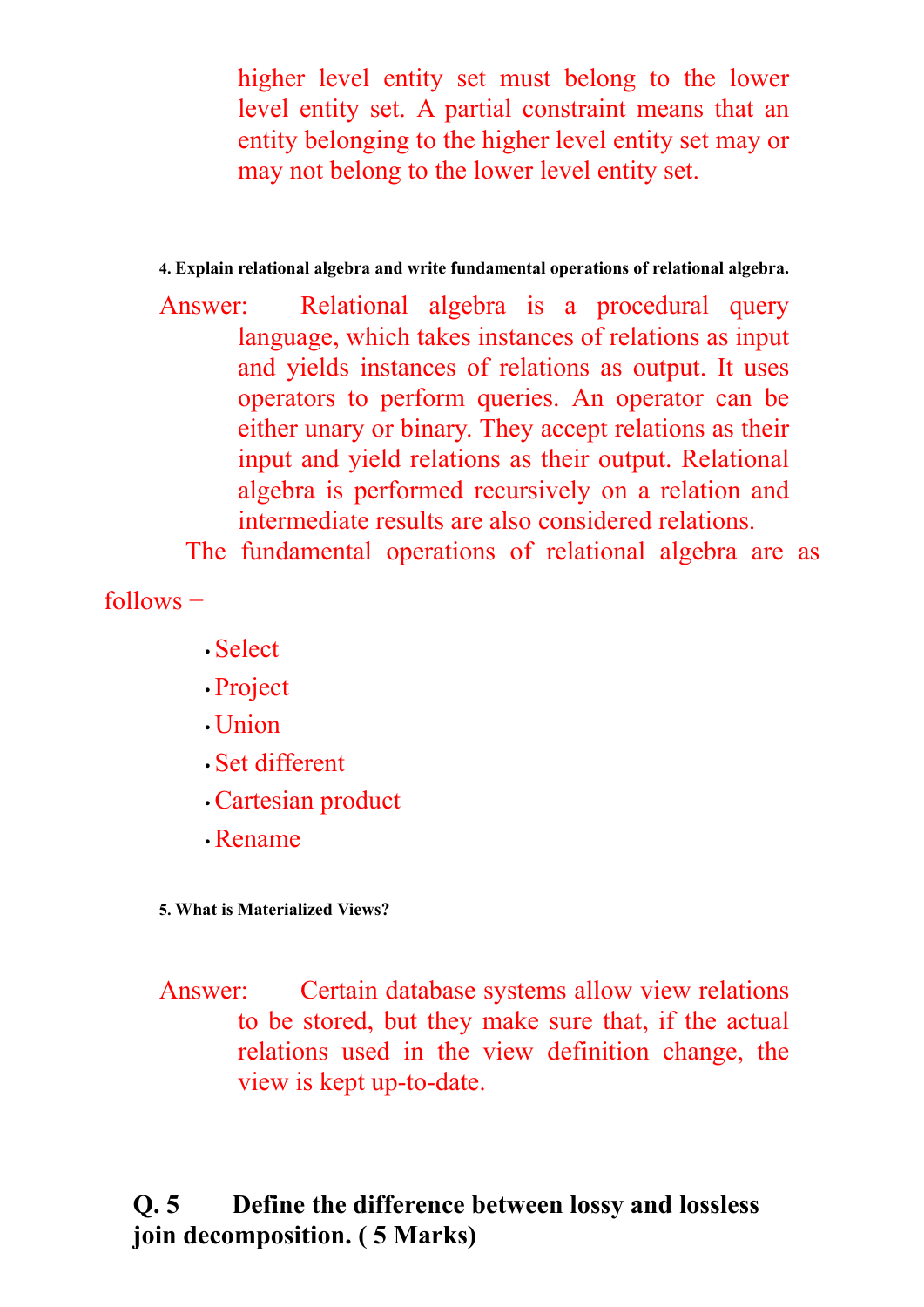higher level entity set must belong to the lower level entity set. A partial constraint means that an entity belonging to the higher level entity set may or may not belong to the lower level entity set.

### **4. Explain relational algebra and write fundamental operations of relational algebra.**

Answer: Relational algebra is a procedural query language, which takes instances of relations as input and yields instances of relations as output. It uses operators to perform queries. An operator can be either unary or binary. They accept relations as their input and yield relations as their output. Relational algebra is performed recursively on a relation and intermediate results are also considered relations.

The fundamental operations of relational algebra are as

follows −

- Select
- Project
- Union
- Set different
- Cartesian product
- Rename

**5. What is Materialized Views?** 

Answer: Certain database systems allow view relations to be stored, but they make sure that, if the actual relations used in the view definition change, the view is kept up-to-date.

# **Q. 5 Define the difference between lossy and lossless join decomposition. ( 5 Marks)**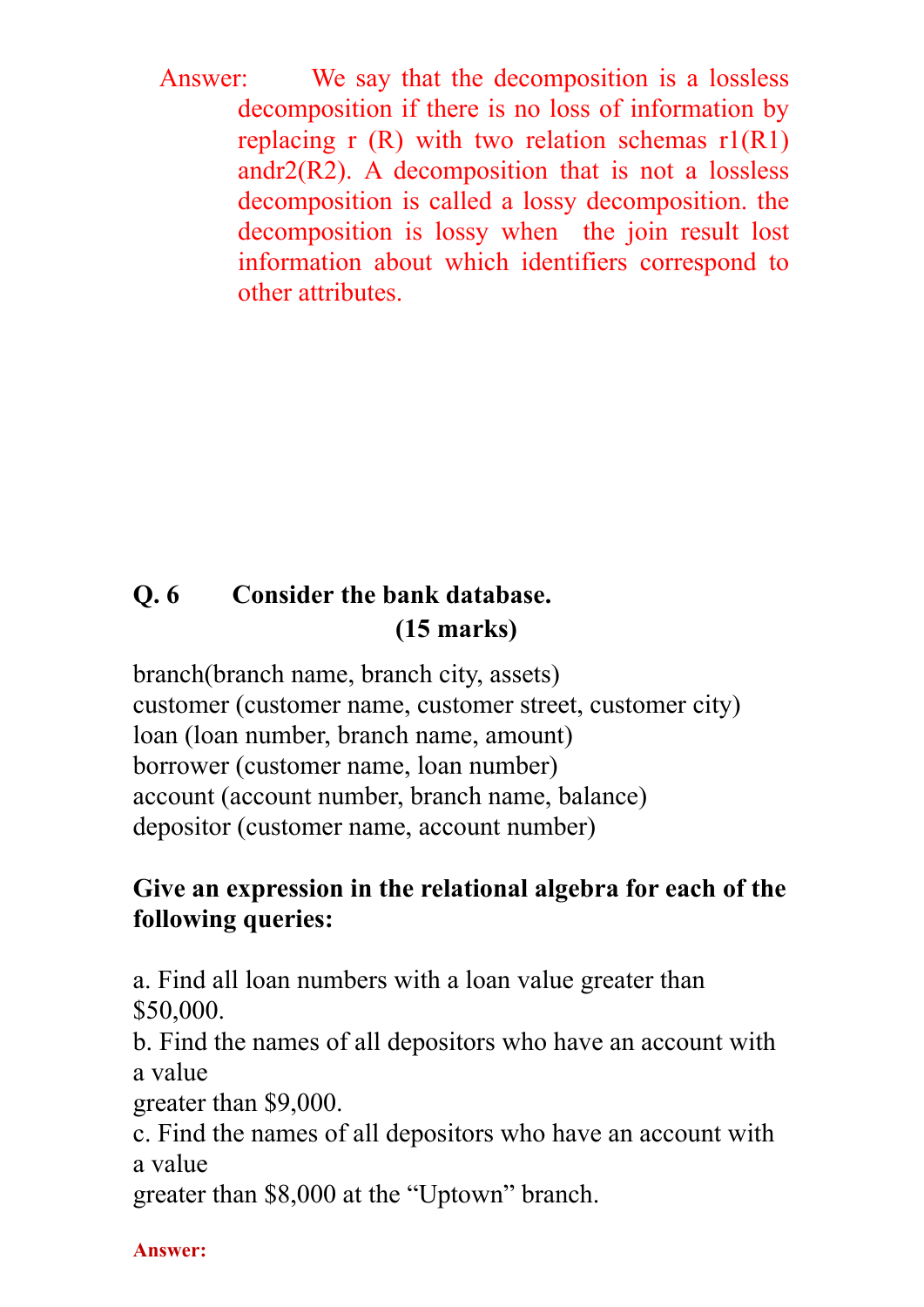Answer: We say that the decomposition is a lossless decomposition if there is no loss of information by replacing r  $(R)$  with two relation schemas  $r1(R1)$ andr $2(R2)$ . A decomposition that is not a lossless decomposition is called a lossy decomposition. the decomposition is lossy when the join result lost information about which identifiers correspond to other attributes.

# **Q. 6 Consider the bank database. (15 marks)**

branch(branch name, branch city, assets) customer (customer name, customer street, customer city) loan (loan number, branch name, amount) borrower (customer name, loan number) account (account number, branch name, balance) depositor (customer name, account number)

# **Give an expression in the relational algebra for each of the following queries:**

a. Find all loan numbers with a loan value greater than \$50,000.

b. Find the names of all depositors who have an account with a value

greater than \$9,000.

c. Find the names of all depositors who have an account with a value

greater than \$8,000 at the "Uptown" branch.

**Answer:**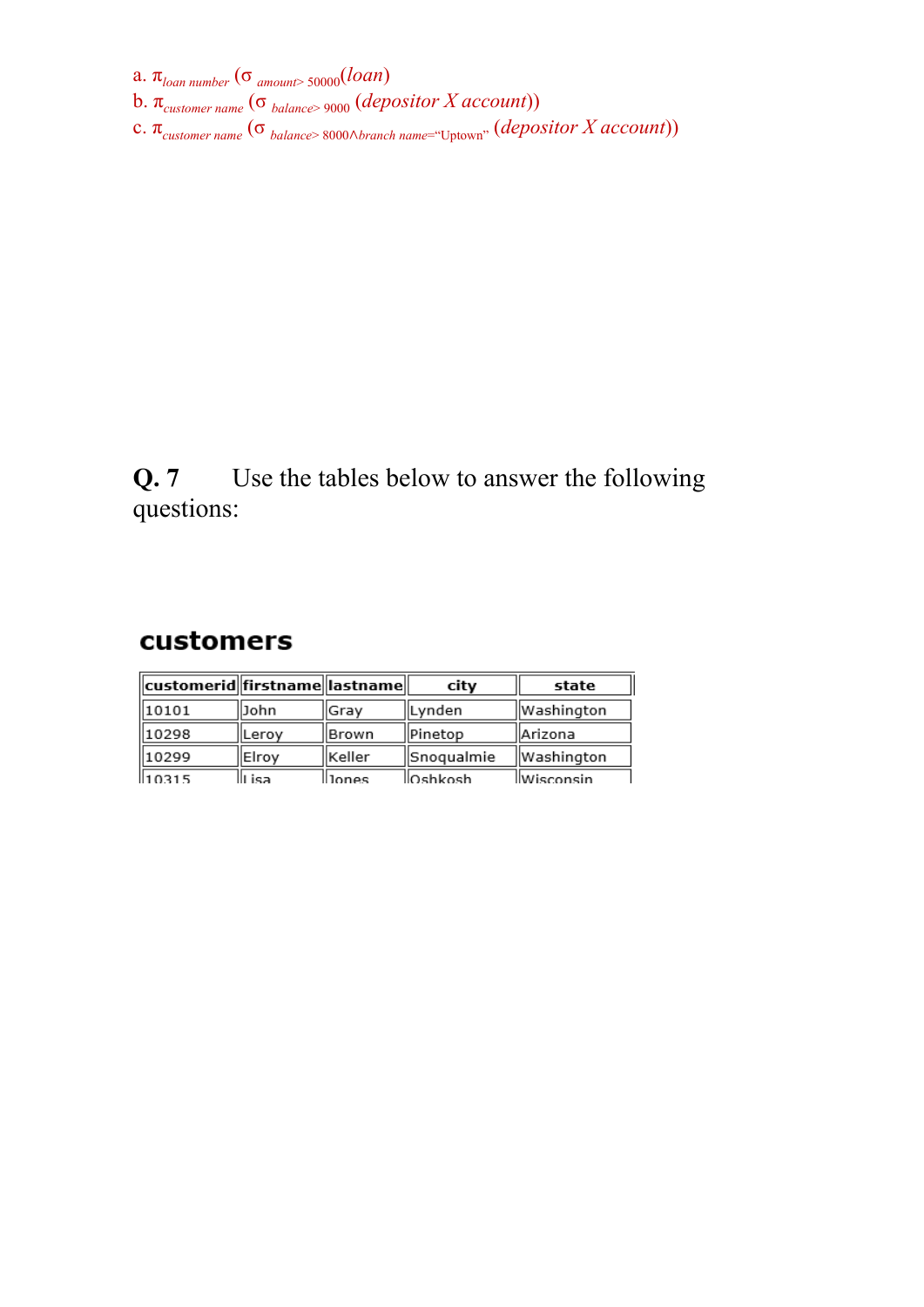a. π*loan number* (σ *amount*> 50000(*loan*)

- b. π*customer name* (σ *balance*> 9000 (*depositor X account*))
- c. π*customer name* (σ *balance*> 8000Ɋ*branch name*="Uptown" (*depositor X account*))

# **Q. 7** Use the tables below to answer the following questions:

## customers

| customerid  firstname  lastname |        |        | city       | state       |
|---------------------------------|--------|--------|------------|-------------|
| 10101                           | John   | lGrav  | Lynden     | Washington  |
| 10298                           | lLeroy | Brown  | Pinetop    | llArizona   |
| 10299                           | Elroy  | Keller | Snoqualmie | Washington  |
| 110315                          | isa    | lones  | lOshkosh   | llWisconsin |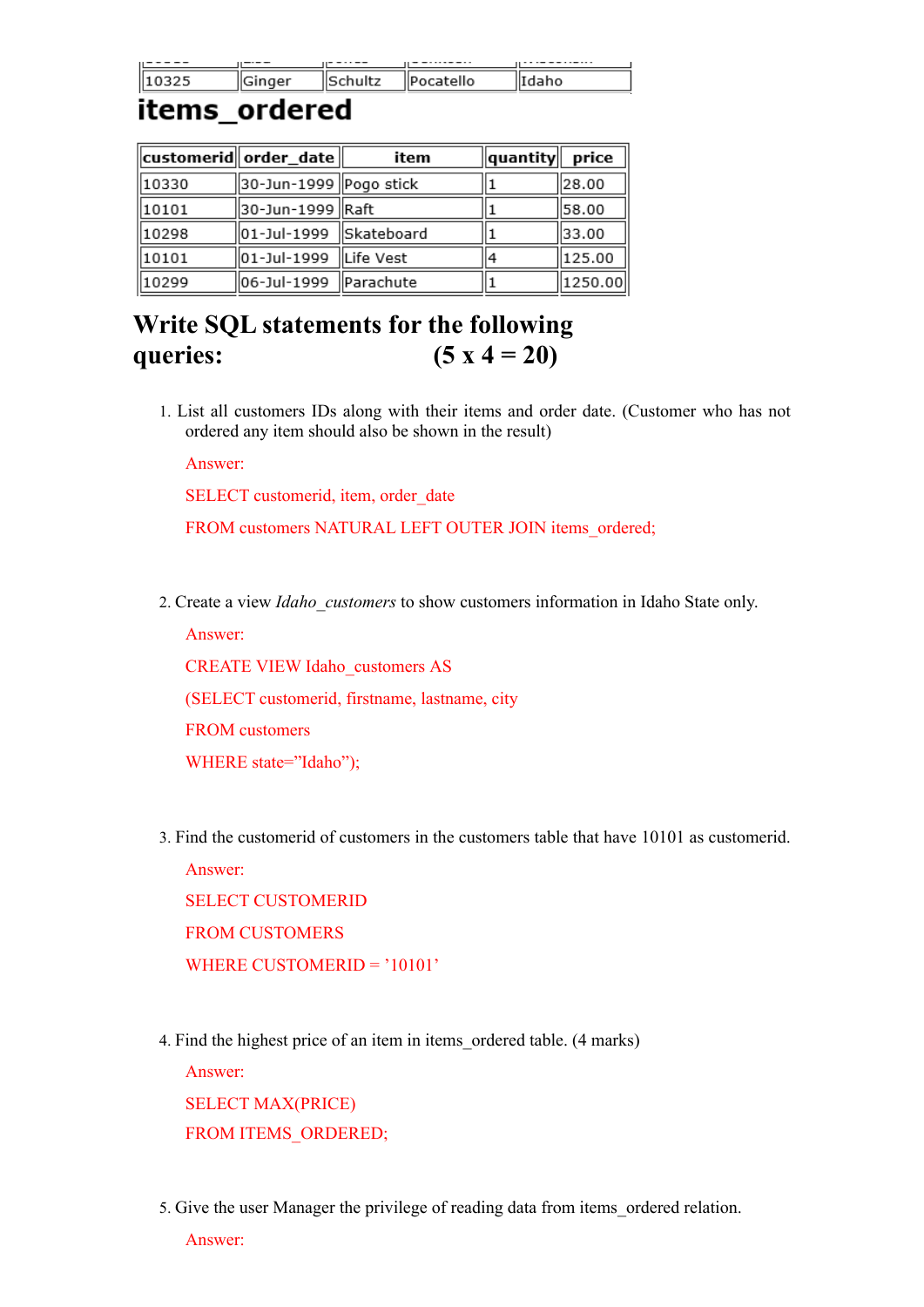| $\cdots$ $\cdots$ $\cdots$ | . |   | . |
|----------------------------|---|---|---|
|                            |   | - |   |

## items\_ordered

|       | $\ $ customerid $\ $ order_date $\ $ | item      | quantity | price   |
|-------|--------------------------------------|-----------|----------|---------|
| 10330 | 30-Jun-1999 Pogo stick               |           |          | 28.00   |
| 10101 | 30-Jun-1999 Raft                     |           |          | 58.00   |
| 10298 | 01-Jul-1999 Skateboard               |           |          | 33.00   |
| 10101 | 01-Jul-1999                          | Life Vest | 14       | 125.00  |
| 10299 | 06-Jul-1999                          | Parachute |          | 1250.00 |

# **Write SQL statements for the following queries: (5 x 4 = 20)**

1. List all customers IDs along with their items and order date. (Customer who has not ordered any item should also be shown in the result)

Answer:

SELECT customerid, item, order date

FROM customers NATURAL LEFT OUTER JOIN items ordered;

2. Create a view *Idaho\_customers* to show customers information in Idaho State only.

Answer:

CREATE VIEW Idaho\_customers AS

(SELECT customerid, firstname, lastname, city

FROM customers

WHERE state="Idaho");

3. Find the customerid of customers in the customers table that have 10101 as customerid.

Answer: SELECT CUSTOMERID FROM CUSTOMERS WHERE CUSTOMERID = '10101'

4. Find the highest price of an item in items\_ordered table. (4 marks)

Answer:

SELECT MAX(PRICE) FROM ITEMS ORDERED;

5. Give the user Manager the privilege of reading data from items\_ordered relation.

Answer: